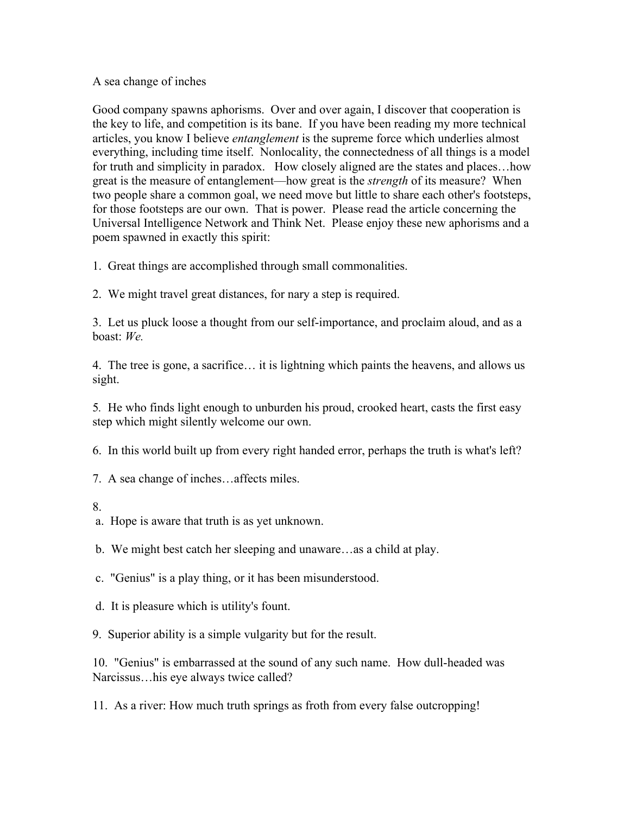## A sea change of inches

Good company spawns aphorisms. Over and over again, I discover that cooperation is the key to life, and competition is its bane. If you have been reading my more technical articles, you know I believe *entanglement* is the supreme force which underlies almost everything, including time itself. Nonlocality, the connectedness of all things is a model for truth and simplicity in paradox. How closely aligned are the states and places…how great is the measure of entanglement––how great is the *strength* of its measure? When two people share a common goal, we need move but little to share each other's footsteps, for those footsteps are our own. That is power. Please read the article concerning the Universal Intelligence Network and Think Net. Please enjoy these new aphorisms and a poem spawned in exactly this spirit:

1. Great things are accomplished through small commonalities.

2. We might travel great distances, for nary a step is required.

3. Let us pluck loose a thought from our self-importance, and proclaim aloud, and as a boast: *We.*

4. The tree is gone, a sacrifice… it is lightning which paints the heavens, and allows us sight.

5*.* He who finds light enough to unburden his proud, crooked heart, casts the first easy step which might silently welcome our own.

6. In this world built up from every right handed error, perhaps the truth is what's left?

7. A sea change of inches…affects miles.

8.

a. Hope is aware that truth is as yet unknown.

b. We might best catch her sleeping and unaware…as a child at play.

c. "Genius" is a play thing, or it has been misunderstood.

d. It is pleasure which is utility's fount.

9. Superior ability is a simple vulgarity but for the result.

10. "Genius" is embarrassed at the sound of any such name. How dull-headed was Narcissus…his eye always twice called?

11. As a river: How much truth springs as froth from every false outcropping!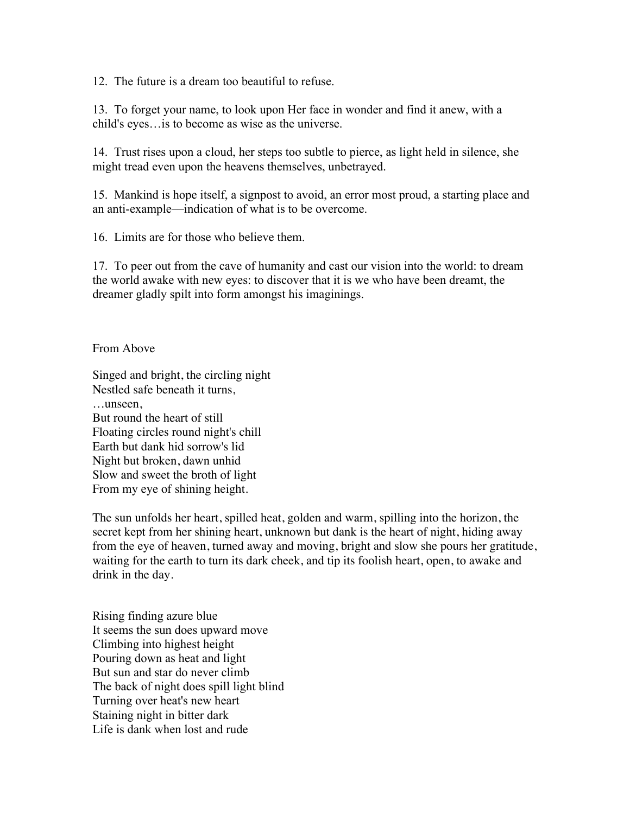12. The future is a dream too beautiful to refuse.

13. To forget your name, to look upon Her face in wonder and find it anew, with a child's eyes…is to become as wise as the universe.

14. Trust rises upon a cloud, her steps too subtle to pierce, as light held in silence, she might tread even upon the heavens themselves, unbetrayed.

15. Mankind is hope itself, a signpost to avoid, an error most proud, a starting place and an anti-example––indication of what is to be overcome.

16. Limits are for those who believe them.

17. To peer out from the cave of humanity and cast our vision into the world: to dream the world awake with new eyes: to discover that it is we who have been dreamt, the dreamer gladly spilt into form amongst his imaginings.

From Above

Singed and bright, the circling night Nestled safe beneath it turns, …unseen, But round the heart of still Floating circles round night's chill Earth but dank hid sorrow's lid Night but broken, dawn unhid Slow and sweet the broth of light From my eye of shining height.

The sun unfolds her heart, spilled heat, golden and warm, spilling into the horizon, the secret kept from her shining heart, unknown but dank is the heart of night, hiding away from the eye of heaven, turned away and moving, bright and slow she pours her gratitude, waiting for the earth to turn its dark cheek, and tip its foolish heart, open, to awake and drink in the day.

Rising finding azure blue It seems the sun does upward move Climbing into highest height Pouring down as heat and light But sun and star do never climb The back of night does spill light blind Turning over heat's new heart Staining night in bitter dark Life is dank when lost and rude